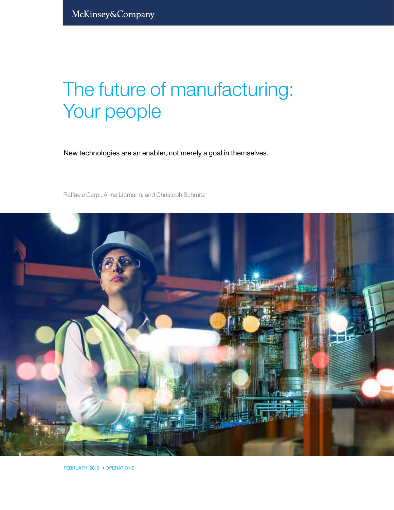# The future of manufacturing: Your people

New technologies are an enabler, not merely a goal in themselves.

Raffaele Carpi, Anna Littmann, and Christoph Schmitz



FEBRUARY 2019 • OPERATIONS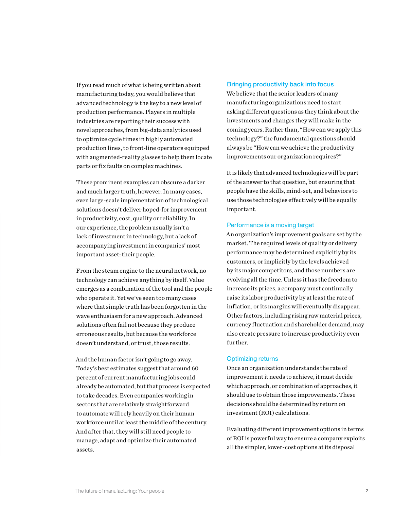If you read much of what is being written about manufacturing today, you would believe that advanced technology is the key to a new level of production performance. Players in multiple industries are reporting their success with novel approaches, from big-data analytics used to optimize cycle times in highly automated production lines, to front-line operators equipped with augmented-reality glasses to help them locate parts or fix faults on complex machines.

These prominent examples can obscure a darker and much larger truth, however. In many cases, even large-scale implementation of technological solutions doesn't deliver hoped-for improvement in productivity, cost, quality or reliability. In our experience, the problem usually isn't a lack of investment in technology, but a lack of accompanying investment in companies' most important asset: their people.

From the steam engine to the neural network, no technology can achieve anything by itself. Value emerges as a combination of the tool and the people who operate it. Yet we've seen too many cases where that simple truth has been forgotten in the wave enthusiasm for a new approach. Advanced solutions often fail not because they produce erroneous results, but because the workforce doesn't understand, or trust, those results.

And the human factor isn't going to go away. Today's best estimates suggest that around 60 percent of current manufacturing jobs could already be automated, but that process is expected to take decades. Even companies working in sectors that are relatively straightforward to automate will rely heavily on their human workforce until at least the middle of the century. And after that, they will still need people to manage, adapt and optimize their automated assets.

### Bringing productivity back into focus

We believe that the senior leaders of many manufacturing organizations need to start asking different questions as they think about the investments and changes they will make in the coming years. Rather than, "How can we apply this technology?" the fundamental questions should always be "How can we achieve the productivity improvements our organization requires?"

It is likely that advanced technologies will be part of the answer to that question, but ensuring that people have the skills, mind-set, and behaviors to use those technologies effectively will be equally important.

#### Performance is a moving target

An organization's improvement goals are set by the market. The required levels of quality or delivery performance may be determined explicitly by its customers, or implicitly by the levels achieved by its major competitors, and those numbers are evolving all the time. Unless it has the freedom to increase its prices, a company must continually raise its labor productivity by at least the rate of inflation, or its margins will eventually disappear. Other factors, including rising raw material prices, currency fluctuation and shareholder demand, may also create pressure to increase productivity even further.

#### Optimizing returns

Once an organization understands the rate of improvement it needs to achieve, it must decide which approach, or combination of approaches, it should use to obtain those improvements. These decisions should be determined by return on investment (ROI) calculations.

Evaluating different improvement options in terms of ROI is powerful way to ensure a company exploits all the simpler, lower-cost options at its disposal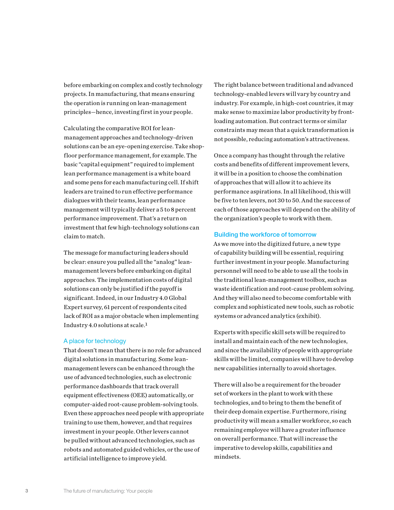before embarking on complex and costly technology projects. In manufacturing, that means ensuring the operation is running on lean-management principles—hence, investing first in your people.

Calculating the comparative ROI for leanmanagement approaches and technology-driven solutions can be an eye-opening exercise. Take shopfloor performance management, for example. The basic "capital equipment" required to implement lean performance management is a white board and some pens for each manufacturing cell. If shift leaders are trained to run effective performance dialogues with their teams, lean performance management will typically deliver a 5 to 8 percent performance improvement. That's a return on investment that few high-technology solutions can claim to match.

The message for manufacturing leaders should be clear: ensure you pulled all the "analog" leanmanagement levers before embarking on digital approaches. The implementation costs of digital solutions can only be justified if the payoff is significant. Indeed, in our Industry 4.0 Global Expert survey, 61 percent of respondents cited lack of ROI as a major obstacle when implementing Industry 4.0 solutions at scale. $<sup>1</sup>$ </sup>

#### A place for technology

That doesn't mean that there is no role for advanced digital solutions in manufacturing. Some leanmanagement levers can be enhanced through the use of advanced technologies, such as electronic performance dashboards that track overall equipment effectiveness (OEE) automatically, or computer-aided root-cause problem-solving tools. Even these approaches need people with appropriate training to use them, however, and that requires investment in your people. Other levers cannot be pulled without advanced technologies, such as robots and automated guided vehicles, or the use of artificial intelligence to improve yield.

The right balance between traditional and advanced technology-enabled levers will vary by country and industry. For example, in high-cost countries, it may make sense to maximize labor productivity by frontloading automation. But contract terms or similar constraints may mean that a quick transformation is not possible, reducing automation's attractiveness.

Once a company has thought through the relative costs and benefits of different improvement levers, it will be in a position to choose the combination of approaches that will allow it to achieve its performance aspirations. In all likelihood, this will be five to ten levers, not 30 to 50. And the success of each of those approaches will depend on the ability of the organization's people to work with them.

#### Building the workforce of tomorrow

As we move into the digitized future, a new type of capability building will be essential, requiring further investment in your people. Manufacturing personnel will need to be able to use all the tools in the traditional lean-management toolbox, such as waste identification and root-cause problem solving. And they will also need to become comfortable with complex and sophisticated new tools, such as robotic systems or advanced analytics (exhibit).

Experts with specific skill sets will be required to install and maintain each of the new technologies, and since the availability of people with appropriate skills will be limited, companies will have to develop new capabilities internally to avoid shortages.

There will also be a requirement for the broader set of workers in the plant to work with these technologies, and to bring to them the benefit of their deep domain expertise. Furthermore, rising productivity will mean a smaller workforce, so each remaining employee will have a greater influence on overall performance. That will increase the imperative to develop skills, capabilities and mindsets.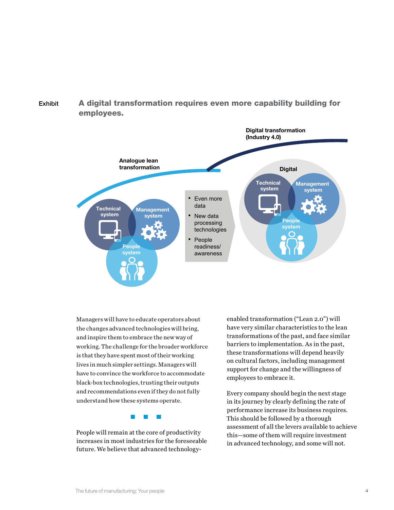## Exhibit A digital transformation requires even more capability building for employees.



Managers will have to educate operators about the changes advanced technologies will bring, and inspire them to embrace the new way of working. The challenge for the broader workforce is that they have spent most of their working lives in much simpler settings. Managers will have to convince the workforce to accommodate black-box technologies, trusting their outputs and recommendations even if they do not fully understand how these systems operate.

 $\mathcal{L}^{\mathcal{L}}$ 

People will remain at the core of productivity increases in most industries for the foreseeable future. We believe that advanced technologyenabled transformation ("Lean 2.0") will have very similar characteristics to the lean transformations of the past, and face similar barriers to implementation. As in the past, these transformations will depend heavily on cultural factors, including management support for change and the willingness of employees to embrace it.

Every company should begin the next stage in its journey by clearly defining the rate of performance increase its business requires. This should be followed by a thorough assessment of all the levers available to achieve this—some of them will require investment in advanced technology, and some will not.